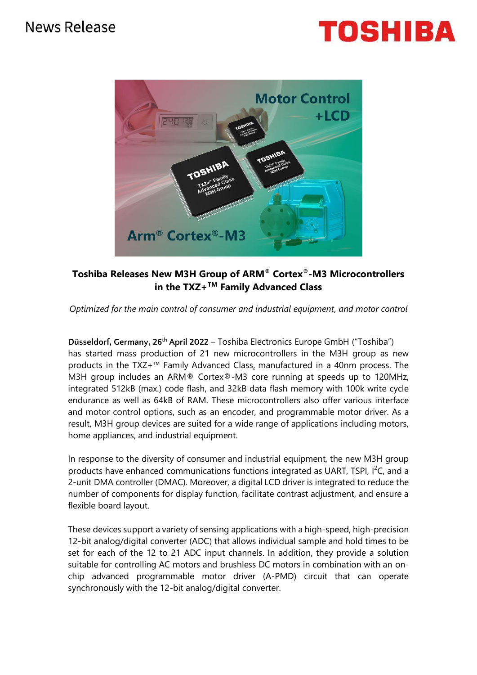



## **Toshiba Releases New M3H Group of ARM® Cortex®-M3 Microcontrollers in the TXZ+TM Family Advanced Class**

*Optimized for the main control of consumer and industrial equipment, and motor control*

**Düsseldorf, Germany, 26 th April 2022** – Toshiba Electronics Europe GmbH ("Toshiba") has started mass production of 21 new microcontrollers in the M3H group as new products in the TXZ+™ Family Advanced Class, manufactured in a 40nm process. The M3H group includes an ARM® Cortex®-M3 core running at speeds up to 120MHz, integrated 512kB (max.) code flash, and 32kB data flash memory with 100k write cycle endurance as well as 64kB of RAM. These microcontrollers also offer various interface and motor control options, such as an encoder, and programmable motor driver. As a result, M3H group devices are suited for a wide range of applications including motors, home appliances, and industrial equipment.

In response to the diversity of consumer and industrial equipment, the new M3H group products have enhanced communications functions integrated as UART, TSPI,  $I^2C$ , and a 2-unit DMA controller (DMAC). Moreover, a digital LCD driver is integrated to reduce the number of components for display function, facilitate contrast adjustment, and ensure a flexible board layout.

These devices support a variety of sensing applications with a high-speed, high-precision 12-bit analog/digital converter (ADC) that allows individual sample and hold times to be set for each of the 12 to 21 ADC input channels. In addition, they provide a solution suitable for controlling AC motors and brushless DC motors in combination with an onchip advanced programmable motor driver (A-PMD) circuit that can operate synchronously with the 12-bit analog/digital converter.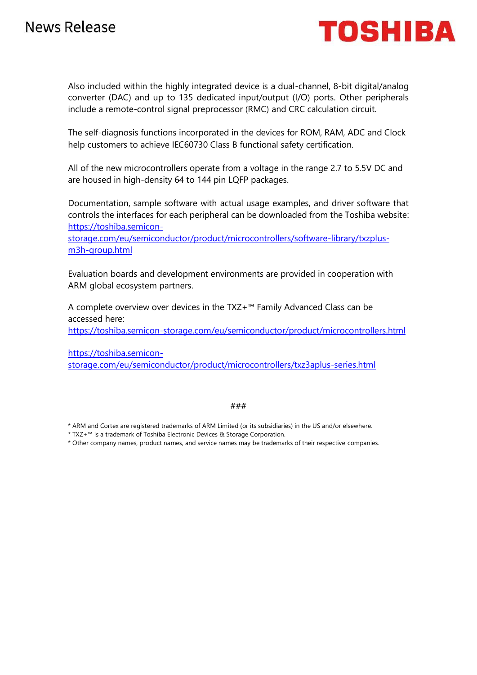

Also included within the highly integrated device is a dual-channel, 8-bit digital/analog converter (DAC) and up to 135 dedicated input/output (I/O) ports. Other peripherals include a remote-control signal preprocessor (RMC) and CRC calculation circuit.

The self-diagnosis functions incorporated in the devices for ROM, RAM, ADC and Clock help customers to achieve IEC60730 Class B functional safety certification.

All of the new microcontrollers operate from a voltage in the range 2.7 to 5.5V DC and are housed in high-density 64 to 144 pin LQFP packages.

Documentation, sample software with actual usage examples, and driver software that controls the interfaces for each peripheral can be downloaded from the Toshiba website: [https://toshiba.semicon-](https://toshiba.semicon-storage.com/eu/semiconductor/product/microcontrollers/software-library/txzplus-m3h-group.html)

[storage.com/eu/semiconductor/product/microcontrollers/software-library/txzplus](https://toshiba.semicon-storage.com/eu/semiconductor/product/microcontrollers/software-library/txzplus-m3h-group.html)[m3h-group.html](https://toshiba.semicon-storage.com/eu/semiconductor/product/microcontrollers/software-library/txzplus-m3h-group.html)

Evaluation boards and development environments are provided in cooperation with ARM global ecosystem partners.

A complete overview over devices in the TXZ+™ Family Advanced Class can be accessed here:

<https://toshiba.semicon-storage.com/eu/semiconductor/product/microcontrollers.html>

[https://toshiba.semicon](https://10.63.26.28/ap-en/semiconductor/product/microcontrollers/txz3aplus-series.html)[storage.com/eu/semiconductor/product/microcontrollers/txz3aplus-series.html](https://10.63.26.28/ap-en/semiconductor/product/microcontrollers/txz3aplus-series.html)

### ###

\* ARM and Cortex are registered trademarks of ARM Limited (or its subsidiaries) in the US and/or elsewhere.

- \* TXZ+™ is a trademark of Toshiba Electronic Devices & Storage Corporation.
- \* Other company names, product names, and service names may be trademarks of their respective companies.